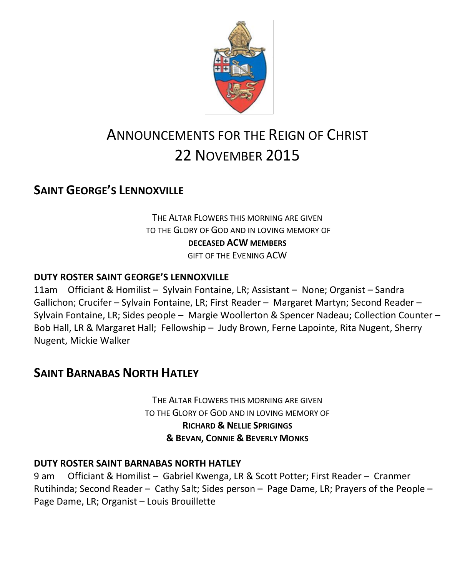

# ANNOUNCEMENTS FOR THE REIGN OF CHRIST 22 NOVEMBER 2015

# **SAINT GEORGE'S LENNOXVILLE**

THE ALTAR FLOWERS THIS MORNING ARE GIVEN TO THE GLORY OF GOD AND IN LOVING MEMORY OF **DECEASED ACW MEMBERS**

GIFT OF THE EVENING ACW

### **DUTY ROSTER SAINT GEORGE'S LENNOXVILLE**

11am Officiant & Homilist – Sylvain Fontaine, LR; Assistant – None; Organist – Sandra Gallichon; Crucifer – Sylvain Fontaine, LR; First Reader – Margaret Martyn; Second Reader – Sylvain Fontaine, LR; Sides people – Margie Woollerton & Spencer Nadeau; Collection Counter – Bob Hall, LR & Margaret Hall; Fellowship – Judy Brown, Ferne Lapointe, Rita Nugent, Sherry Nugent, Mickie Walker

# **SAINT BARNABAS NORTH HATLEY**

THE ALTAR FLOWERS THIS MORNING ARE GIVEN TO THE GLORY OF GOD AND IN LOVING MEMORY OF **RICHARD & NELLIE SPRIGINGS & BEVAN, CONNIE & BEVERLY MONKS**

#### **DUTY ROSTER SAINT BARNABAS NORTH HATLEY**

9 am Officiant & Homilist – Gabriel Kwenga, LR & Scott Potter; First Reader – Cranmer Rutihinda; Second Reader – Cathy Salt; Sides person – Page Dame, LR; Prayers of the People – Page Dame, LR; Organist – Louis Brouillette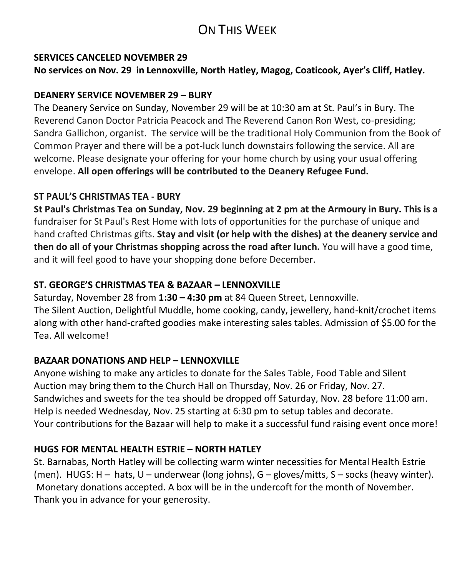# ON THIS WEEK

#### **SERVICES CANCELED NOVEMBER 29**

**No services on Nov. 29 in Lennoxville, North Hatley, Magog, Coaticook, Ayer's Cliff, Hatley.**

### **DEANERY SERVICE NOVEMBER 29 – BURY**

The Deanery Service on Sunday, November 29 will be at 10:30 am at St. Paul's in Bury. The Reverend Canon Doctor Patricia Peacock and The Reverend Canon Ron West, co-presiding; Sandra Gallichon, organist. The service will be the traditional Holy Communion from the Book of Common Prayer and there will be a pot-luck lunch downstairs following the service. All are welcome. Please designate your offering for your home church by using your usual offering envelope. **All open offerings will be contributed to the Deanery Refugee Fund.**

### **ST PAUL'S CHRISTMAS TEA - BURY**

**St Paul's Christmas Tea on Sunday, Nov. 29 beginning at 2 pm at the Armoury in Bury. This is a** fundraiser for St Paul's Rest Home with lots of opportunities for the purchase of unique and hand crafted Christmas gifts. **Stay and visit (or help with the dishes) at the deanery service and then do all of your Christmas shopping across the road after lunch.** You will have a good time, and it will feel good to have your shopping done before December.

### **ST. GEORGE'S CHRISTMAS TEA & BAZAAR – LENNOXVILLE**

Saturday, November 28 from **1:30 – 4:30 pm** at 84 Queen Street, Lennoxville. The Silent Auction, Delightful Muddle, home cooking, candy, jewellery, hand-knit/crochet items along with other hand-crafted goodies make interesting sales tables. Admission of \$5.00 for the Tea. All welcome!

### **BAZAAR DONATIONS AND HELP – LENNOXVILLE**

Anyone wishing to make any articles to donate for the Sales Table, Food Table and Silent Auction may bring them to the Church Hall on Thursday, Nov. 26 or Friday, Nov. 27. Sandwiches and sweets for the tea should be dropped off Saturday, Nov. 28 before 11:00 am. Help is needed Wednesday, Nov. 25 starting at 6:30 pm to setup tables and decorate. Your contributions for the Bazaar will help to make it a successful fund raising event once more!

### **HUGS FOR MENTAL HEALTH ESTRIE – NORTH HATLEY**

St. Barnabas, North Hatley will be collecting warm winter necessities for Mental Health Estrie (men). HUGS: H – hats, U – underwear (long johns), G – gloves/mitts, S – socks (heavy winter). Monetary donations accepted. A box will be in the undercoft for the month of November. Thank you in advance for your generosity.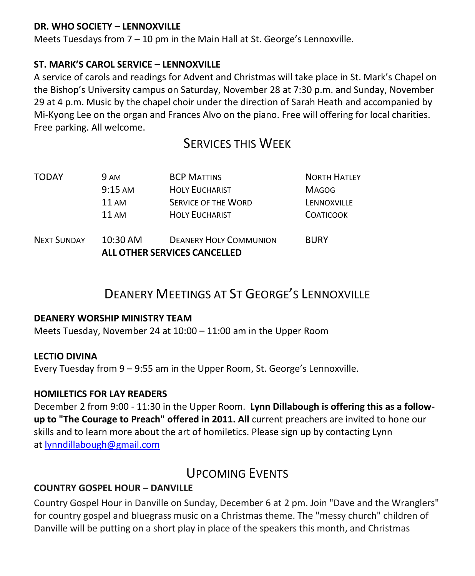#### **DR. WHO SOCIETY – LENNOXVILLE**

Meets Tuesdays from 7 – 10 pm in the Main Hall at St. George's Lennoxville.

#### **ST. MARK'S CAROL SERVICE – LENNOXVILLE**

A service of carols and readings for Advent and Christmas will take place in St. Mark's Chapel on the Bishop's University campus on Saturday, November 28 at 7:30 p.m. and Sunday, November 29 at 4 p.m. Music by the chapel choir under the direction of Sarah Heath and accompanied by Mi-Kyong Lee on the organ and Frances Alvo on the piano. Free will offering for local charities. Free parking. All welcome.

## SERVICES THIS WEEK

|                    | ALL OTHER SERVICES CANCELLED |                               |                     |
|--------------------|------------------------------|-------------------------------|---------------------|
| <b>NEXT SUNDAY</b> | $10:30$ AM                   | <b>DEANERY HOLY COMMUNION</b> | <b>BURY</b>         |
|                    | $11 \text{ AM}$              | <b>HOLY EUCHARIST</b>         | <b>COATICOOK</b>    |
|                    | 11 AM                        | <b>SERVICE OF THE WORD</b>    | LENNOXVILLE         |
|                    | $9:15$ AM                    | <b>HOLY EUCHARIST</b>         | <b>MAGOG</b>        |
| <b>TODAY</b>       | <b>9 AM</b>                  | <b>BCP MATTINS</b>            | <b>NORTH HATLEY</b> |

# DEANERY MEETINGS AT ST GEORGE'S LENNOXVILLE

#### **DEANERY WORSHIP MINISTRY TEAM**

Meets Tuesday, November 24 at 10:00 – 11:00 am in the Upper Room

#### **LECTIO DIVINA**

Every Tuesday from 9 – 9:55 am in the Upper Room, St. George's Lennoxville.

#### **HOMILETICS FOR LAY READERS**

December 2 from 9:00 - 11:30 in the Upper Room. **Lynn Dillabough is offering this as a followup to "The Courage to Preach" offered in 2011. All** current preachers are invited to hone our skills and to learn more about the art of homiletics. Please sign up by contacting Lynn at [lynndillabough@gmail.com](https://webmail.ubishops.ca/owa/redir.aspx?SURL=nksXqGp85F_Dom4r3JsslLbkidVbmkiX7It9Wrxex6QiuuBWxdTSCG0AYQBpAGwAdABvADoAbAB5AG4AbgBkAGkAbABsAGEAYgBvAHUAZwBoAEAAZwBtAGEAaQBsAC4AYwBvAG0A&URL=mailto%3alynndillabough%40gmail.com)

# UPCOMING EVENTS

#### **COUNTRY GOSPEL HOUR – DANVILLE**

Country Gospel Hour in Danville on Sunday, December 6 at 2 pm. Join "Dave and the Wranglers" for country gospel and bluegrass music on a Christmas theme. The "messy church" children of Danville will be putting on a short play in place of the speakers this month, and Christmas